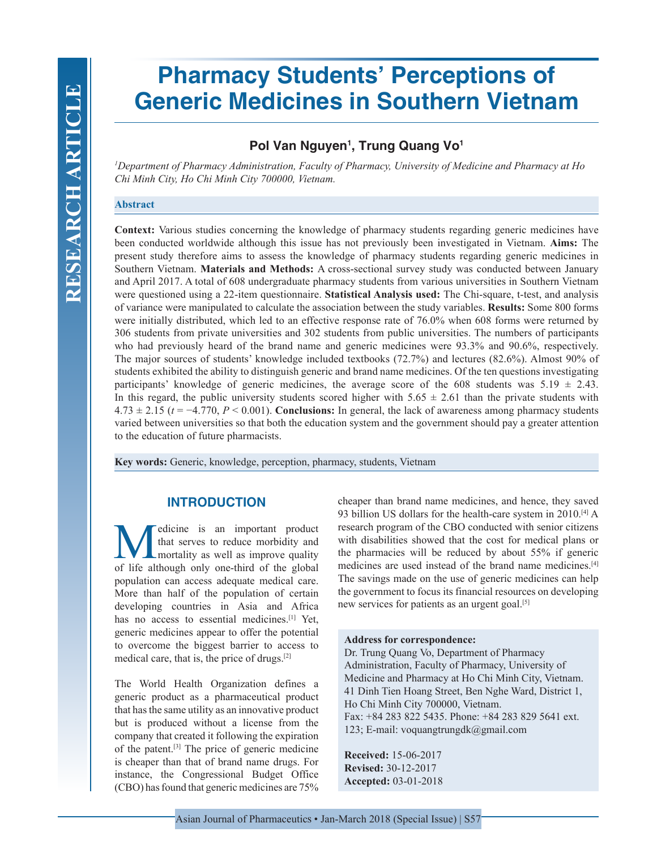# **Pharmacy Students' Perceptions of Generic Medicines in Southern Vietnam**

## **Pol Van Nguyen1 , Trung Quang Vo1**

*1 Department of Pharmacy Administration, Faculty of Pharmacy, University of Medicine and Pharmacy at Ho Chi Minh City, Ho Chi Minh City 700000, Vietnam.*

### **Abstract**

**Context:** Various studies concerning the knowledge of pharmacy students regarding generic medicines have been conducted worldwide although this issue has not previously been investigated in Vietnam. **Aims:** The present study therefore aims to assess the knowledge of pharmacy students regarding generic medicines in Southern Vietnam. **Materials and Methods:** A cross-sectional survey study was conducted between January and April 2017. A total of 608 undergraduate pharmacy students from various universities in Southern Vietnam were questioned using a 22-item questionnaire. **Statistical Analysis used:** The Chi-square, t-test, and analysis of variance were manipulated to calculate the association between the study variables. **Results:** Some 800 forms were initially distributed, which led to an effective response rate of 76.0% when 608 forms were returned by 306 students from private universities and 302 students from public universities. The numbers of participants who had previously heard of the brand name and generic medicines were 93.3% and 90.6%, respectively. The major sources of students' knowledge included textbooks (72.7%) and lectures (82.6%). Almost 90% of students exhibited the ability to distinguish generic and brand name medicines. Of the ten questions investigating participants' knowledge of generic medicines, the average score of the 608 students was  $5.19 \pm 2.43$ . In this regard, the public university students scored higher with  $5.65 \pm 2.61$  than the private students with  $4.73 \pm 2.15$  ( $t = -4.770$ ,  $P \le 0.001$ ). **Conclusions:** In general, the lack of awareness among pharmacy students varied between universities so that both the education system and the government should pay a greater attention to the education of future pharmacists.

**Key words:** Generic, knowledge, perception, pharmacy, students, Vietnam

## **INTRODUCTION**

Medicine is an important product<br>that serves to reduce morbidity and<br>of life although only one-third of the global that serves to reduce morbidity and mortality as well as improve quality of life although only one-third of the global population can access adequate medical care. More than half of the population of certain developing countries in Asia and Africa has no access to essential medicines.<sup>[1]</sup> Yet, generic medicines appear to offer the potential to overcome the biggest barrier to access to medical care, that is, the price of drugs.[2]

The World Health Organization defines a generic product as a pharmaceutical product that has the same utility as an innovative product but is produced without a license from the company that created it following the expiration of the patent.[3] The price of generic medicine is cheaper than that of brand name drugs. For instance, the Congressional Budget Office (CBO) has found that generic medicines are 75%

cheaper than brand name medicines, and hence, they saved 93 billion US dollars for the health-care system in 2010.<sup>[4]</sup> A research program of the CBO conducted with senior citizens with disabilities showed that the cost for medical plans or the pharmacies will be reduced by about 55% if generic medicines are used instead of the brand name medicines.[4] The savings made on the use of generic medicines can help the government to focus its financial resources on developing new services for patients as an urgent goal.<sup>[5]</sup>

#### **Address for correspondence:**

Dr. Trung Quang Vo, Department of Pharmacy Administration, Faculty of Pharmacy, University of Medicine and Pharmacy at Ho Chi Minh City, Vietnam. 41 Dinh Tien Hoang Street, Ben Nghe Ward, District 1, Ho Chi Minh City 700000, Vietnam. Fax: +84 283 822 5435. Phone: +84 283 829 5641 ext. 123; E-mail: voquangtrungdk@gmail.com

**Received:** 15-06-2017 **Revised:** 30-12-2017 **Accepted:** 03-01-2018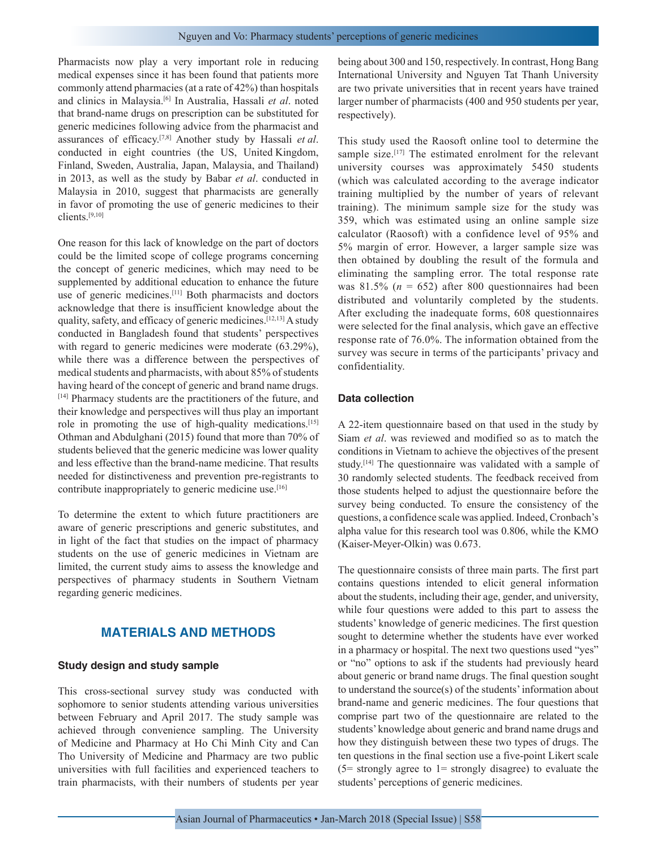Pharmacists now play a very important role in reducing medical expenses since it has been found that patients more commonly attend pharmacies (at a rate of 42%) than hospitals and clinics in Malaysia.[6] In Australia, Hassali *et al*. noted that brand-name drugs on prescription can be substituted for generic medicines following advice from the pharmacist and assurances of efficacy.[7,8] Another study by Hassali *et al*. conducted in eight countries (the US, United Kingdom, Finland, Sweden, Australia, Japan, Malaysia, and Thailand) in 2013, as well as the study by Babar *et al*. conducted in Malaysia in 2010, suggest that pharmacists are generally in favor of promoting the use of generic medicines to their clients.[9,10]

One reason for this lack of knowledge on the part of doctors could be the limited scope of college programs concerning the concept of generic medicines, which may need to be supplemented by additional education to enhance the future use of generic medicines.<sup>[11]</sup> Both pharmacists and doctors acknowledge that there is insufficient knowledge about the quality, safety, and efficacy of generic medicines.[12,13] A study conducted in Bangladesh found that students' perspectives with regard to generic medicines were moderate  $(63.29\%),$ while there was a difference between the perspectives of medical students and pharmacists, with about 85% of students having heard of the concept of generic and brand name drugs. [14] Pharmacy students are the practitioners of the future, and their knowledge and perspectives will thus play an important role in promoting the use of high-quality medications.<sup>[15]</sup> Othman and Abdulghani (2015) found that more than 70% of students believed that the generic medicine was lower quality and less effective than the brand-name medicine. That results needed for distinctiveness and prevention pre-registrants to contribute inappropriately to generic medicine use.<sup>[16]</sup>

To determine the extent to which future practitioners are aware of generic prescriptions and generic substitutes, and in light of the fact that studies on the impact of pharmacy students on the use of generic medicines in Vietnam are limited, the current study aims to assess the knowledge and perspectives of pharmacy students in Southern Vietnam regarding generic medicines.

## **MATERIALS AND METHODS**

## **Study design and study sample**

This cross-sectional survey study was conducted with sophomore to senior students attending various universities between February and April 2017. The study sample was achieved through convenience sampling. The University of Medicine and Pharmacy at Ho Chi Minh City and Can Tho University of Medicine and Pharmacy are two public universities with full facilities and experienced teachers to train pharmacists, with their numbers of students per year being about 300 and 150, respectively. In contrast, Hong Bang International University and Nguyen Tat Thanh University are two private universities that in recent years have trained larger number of pharmacists (400 and 950 students per year, respectively).

This study used the Raosoft online tool to determine the sample size.<sup>[17]</sup> The estimated enrolment for the relevant university courses was approximately 5450 students (which was calculated according to the average indicator training multiplied by the number of years of relevant training). The minimum sample size for the study was 359, which was estimated using an online sample size calculator (Raosoft) with a confidence level of 95% and 5% margin of error. However, a larger sample size was then obtained by doubling the result of the formula and eliminating the sampling error. The total response rate was  $81.5\%$  ( $n = 652$ ) after 800 questionnaires had been distributed and voluntarily completed by the students. After excluding the inadequate forms, 608 questionnaires were selected for the final analysis, which gave an effective response rate of 76.0%. The information obtained from the survey was secure in terms of the participants' privacy and confidentiality.

#### **Data collection**

A 22-item questionnaire based on that used in the study by Siam *et al*. was reviewed and modified so as to match the conditions in Vietnam to achieve the objectives of the present study.[14] The questionnaire was validated with a sample of 30 randomly selected students. The feedback received from those students helped to adjust the questionnaire before the survey being conducted. To ensure the consistency of the questions, a confidence scale was applied. Indeed, Cronbach's alpha value for this research tool was 0.806, while the KMO (Kaiser-Meyer-Olkin) was 0.673.

The questionnaire consists of three main parts. The first part contains questions intended to elicit general information about the students, including their age, gender, and university, while four questions were added to this part to assess the students' knowledge of generic medicines. The first question sought to determine whether the students have ever worked in a pharmacy or hospital. The next two questions used "yes" or "no" options to ask if the students had previously heard about generic or brand name drugs. The final question sought to understand the source(s) of the students' information about brand-name and generic medicines. The four questions that comprise part two of the questionnaire are related to the students' knowledge about generic and brand name drugs and how they distinguish between these two types of drugs. The ten questions in the final section use a five-point Likert scale  $(5=$  strongly agree to 1= strongly disagree) to evaluate the students' perceptions of generic medicines.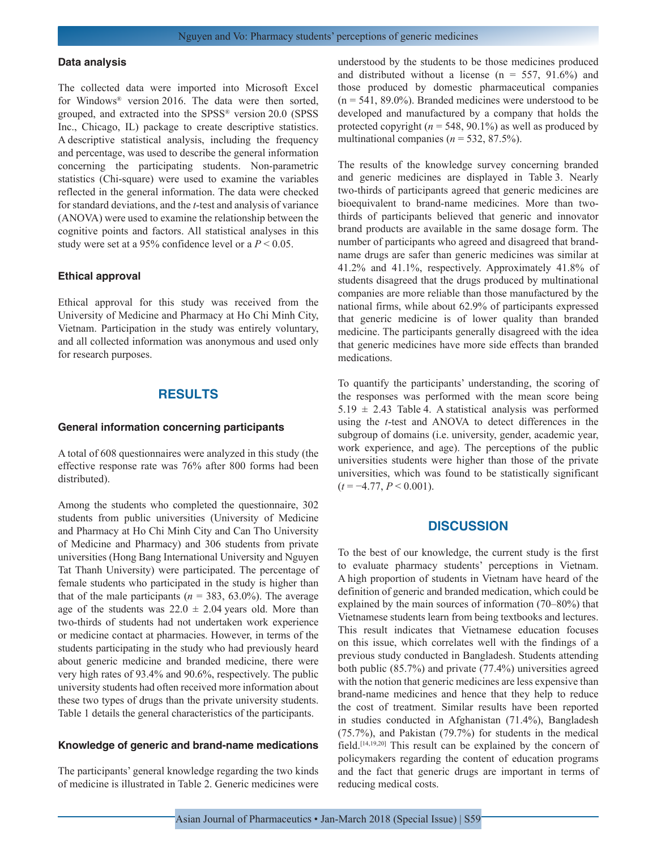#### **Data analysis**

The collected data were imported into Microsoft Excel for Windows® version 2016. The data were then sorted, grouped, and extracted into the SPSS® version 20.0 (SPSS Inc., Chicago, IL) package to create descriptive statistics. A descriptive statistical analysis, including the frequency and percentage, was used to describe the general information concerning the participating students. Non-parametric statistics (Chi-square) were used to examine the variables reflected in the general information. The data were checked for standard deviations, and the *t*-test and analysis of variance (ANOVA) were used to examine the relationship between the cognitive points and factors. All statistical analyses in this study were set at a 95% confidence level or a *P* < 0.05.

#### **Ethical approval**

Ethical approval for this study was received from the University of Medicine and Pharmacy at Ho Chi Minh City, Vietnam. Participation in the study was entirely voluntary, and all collected information was anonymous and used only for research purposes.

## **RESULTS**

#### **General information concerning participants**

A total of 608 questionnaires were analyzed in this study (the effective response rate was 76% after 800 forms had been distributed).

Among the students who completed the questionnaire, 302 students from public universities (University of Medicine and Pharmacy at Ho Chi Minh City and Can Tho University of Medicine and Pharmacy) and 306 students from private universities (Hong Bang International University and Nguyen Tat Thanh University) were participated. The percentage of female students who participated in the study is higher than that of the male participants ( $n = 383, 63.0\%$ ). The average age of the students was  $22.0 \pm 2.04$  years old. More than two-thirds of students had not undertaken work experience or medicine contact at pharmacies. However, in terms of the students participating in the study who had previously heard about generic medicine and branded medicine, there were very high rates of 93.4% and 90.6%, respectively. The public university students had often received more information about these two types of drugs than the private university students. Table 1 details the general characteristics of the participants.

#### **Knowledge of generic and brand-name medications**

The participants' general knowledge regarding the two kinds of medicine is illustrated in Table 2. Generic medicines were understood by the students to be those medicines produced and distributed without a license ( $n = 557, 91.6\%$ ) and those produced by domestic pharmaceutical companies  $(n = 541, 89.0\%)$ . Branded medicines were understood to be developed and manufactured by a company that holds the protected copyright ( $n = 548, 90.1\%$ ) as well as produced by multinational companies ( $n = 532, 87.5\%$ ).

The results of the knowledge survey concerning branded and generic medicines are displayed in Table 3. Nearly two-thirds of participants agreed that generic medicines are bioequivalent to brand-name medicines. More than twothirds of participants believed that generic and innovator brand products are available in the same dosage form. The number of participants who agreed and disagreed that brandname drugs are safer than generic medicines was similar at 41.2% and 41.1%, respectively. Approximately 41.8% of students disagreed that the drugs produced by multinational companies are more reliable than those manufactured by the national firms, while about 62.9% of participants expressed that generic medicine is of lower quality than branded medicine. The participants generally disagreed with the idea that generic medicines have more side effects than branded medications.

To quantify the participants' understanding, the scoring of the responses was performed with the mean score being  $5.19 \pm 2.43$  Table 4. A statistical analysis was performed using the *t*-test and ANOVA to detect differences in the subgroup of domains (i.e. university, gender, academic year, work experience, and age). The perceptions of the public universities students were higher than those of the private universities, which was found to be statistically significant  $(t = -4.77, P \le 0.001)$ .

## **DISCUSSION**

To the best of our knowledge, the current study is the first to evaluate pharmacy students' perceptions in Vietnam. A high proportion of students in Vietnam have heard of the definition of generic and branded medication, which could be explained by the main sources of information (70–80%) that Vietnamese students learn from being textbooks and lectures. This result indicates that Vietnamese education focuses on this issue, which correlates well with the findings of a previous study conducted in Bangladesh. Students attending both public (85.7%) and private (77.4%) universities agreed with the notion that generic medicines are less expensive than brand-name medicines and hence that they help to reduce the cost of treatment. Similar results have been reported in studies conducted in Afghanistan (71.4%), Bangladesh (75.7%), and Pakistan (79.7%) for students in the medical field.[14,19,20] This result can be explained by the concern of policymakers regarding the content of education programs and the fact that generic drugs are important in terms of reducing medical costs.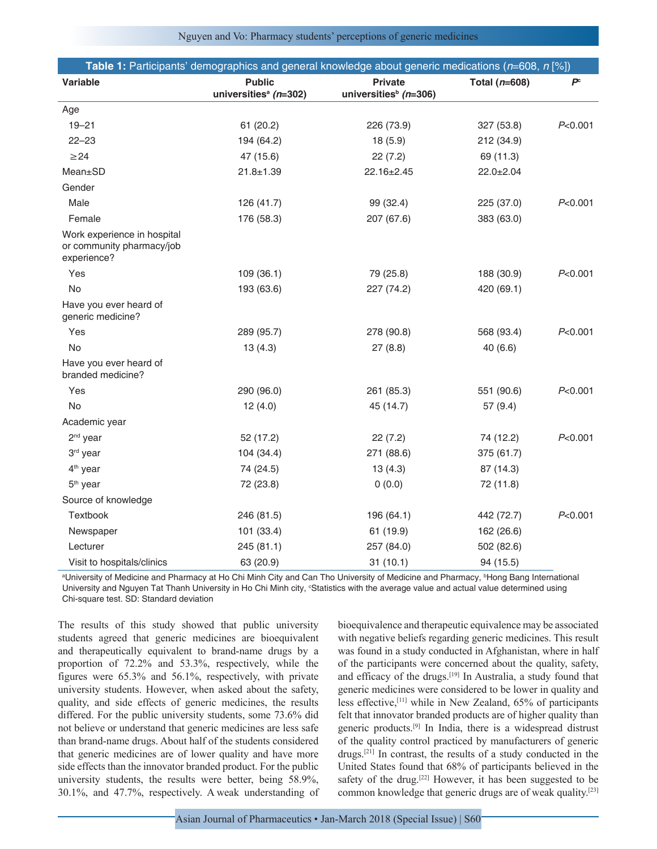|                                                                         | Table 1: Participants' demographics and general knowledge about generic medications ( $n=608$ , $n$ [%]) |                                                     |                   |                |
|-------------------------------------------------------------------------|----------------------------------------------------------------------------------------------------------|-----------------------------------------------------|-------------------|----------------|
| Variable                                                                | <b>Public</b><br>universities <sup>a</sup> (n=302)                                                       | <b>Private</b><br>universities <sup>b</sup> (n=306) | Total ( $n=608$ ) | P <sup>c</sup> |
| Age                                                                     |                                                                                                          |                                                     |                   |                |
| $19 - 21$                                                               | 61(20.2)                                                                                                 | 226 (73.9)                                          | 327 (53.8)        | P<0.001        |
| $22 - 23$                                                               | 194 (64.2)                                                                                               | 18 (5.9)                                            | 212 (34.9)        |                |
| $\geq$ 24                                                               | 47 (15.6)                                                                                                | 22(7.2)                                             | 69 (11.3)         |                |
| Mean±SD                                                                 | $21.8 + 1.39$                                                                                            | 22.16±2.45                                          | $22.0 \pm 2.04$   |                |
| Gender                                                                  |                                                                                                          |                                                     |                   |                |
| Male                                                                    | 126 (41.7)                                                                                               | 99 (32.4)                                           | 225 (37.0)        | P<0.001        |
| Female                                                                  | 176 (58.3)                                                                                               | 207 (67.6)                                          | 383 (63.0)        |                |
| Work experience in hospital<br>or community pharmacy/job<br>experience? |                                                                                                          |                                                     |                   |                |
| Yes                                                                     | 109(36.1)                                                                                                | 79 (25.8)                                           | 188 (30.9)        | P<0.001        |
| <b>No</b>                                                               | 193 (63.6)                                                                                               | 227 (74.2)                                          | 420 (69.1)        |                |
| Have you ever heard of<br>generic medicine?                             |                                                                                                          |                                                     |                   |                |
| Yes                                                                     | 289 (95.7)                                                                                               | 278 (90.8)                                          | 568 (93.4)        | P<0.001        |
| <b>No</b>                                                               | 13(4.3)                                                                                                  | 27(8.8)                                             | 40 (6.6)          |                |
| Have you ever heard of<br>branded medicine?                             |                                                                                                          |                                                     |                   |                |
| Yes                                                                     | 290 (96.0)                                                                                               | 261 (85.3)                                          | 551 (90.6)        | P<0.001        |
| <b>No</b>                                                               | 12(4.0)                                                                                                  | 45 (14.7)                                           | 57(9.4)           |                |
| Academic year                                                           |                                                                                                          |                                                     |                   |                |
| $2nd$ year                                                              | 52 (17.2)                                                                                                | 22(7.2)                                             | 74 (12.2)         | P<0.001        |
| 3rd year                                                                | 104 (34.4)                                                                                               | 271 (88.6)                                          | 375 (61.7)        |                |
| 4 <sup>th</sup> year                                                    | 74 (24.5)                                                                                                | 13(4.3)                                             | 87 (14.3)         |                |
| 5 <sup>th</sup> year                                                    | 72 (23.8)                                                                                                | 0(0.0)                                              | 72 (11.8)         |                |
| Source of knowledge                                                     |                                                                                                          |                                                     |                   |                |
| Textbook                                                                | 246 (81.5)                                                                                               | 196 (64.1)                                          | 442 (72.7)        | P<0.001        |
| Newspaper                                                               | 101 (33.4)                                                                                               | 61 (19.9)                                           | 162 (26.6)        |                |
| Lecturer                                                                | 245 (81.1)                                                                                               | 257 (84.0)                                          | 502 (82.6)        |                |
| Visit to hospitals/clinics                                              | 63 (20.9)                                                                                                | 31(10.1)                                            | 94 (15.5)         |                |

a University of Medicine and Pharmacy at Ho Chi Minh City and Can Tho University of Medicine and Pharmacy, b Hong Bang International University and Nguyen Tat Thanh University in Ho Chi Minh city, <sup>c</sup>Statistics with the average value and actual value determined using Chi‑square test. SD: Standard deviation

The results of this study showed that public university students agreed that generic medicines are bioequivalent and therapeutically equivalent to brand-name drugs by a proportion of 72.2% and 53.3%, respectively, while the figures were 65.3% and 56.1%, respectively, with private university students. However, when asked about the safety, quality, and side effects of generic medicines, the results differed. For the public university students, some 73.6% did not believe or understand that generic medicines are less safe than brand-name drugs. About half of the students considered that generic medicines are of lower quality and have more side effects than the innovator branded product. For the public university students, the results were better, being 58.9%, 30.1%, and 47.7%, respectively. A weak understanding of bioequivalence and therapeutic equivalence may be associated with negative beliefs regarding generic medicines. This result was found in a study conducted in Afghanistan, where in half of the participants were concerned about the quality, safety, and efficacy of the drugs.[19] In Australia, a study found that generic medicines were considered to be lower in quality and less effective,[11] while in New Zealand, 65% of participants felt that innovator branded products are of higher quality than generic products.[9] In India, there is a widespread distrust of the quality control practiced by manufacturers of generic drugs.[21] In contrast, the results of a study conducted in the United States found that 68% of participants believed in the safety of the drug.<sup>[22]</sup> However, it has been suggested to be common knowledge that generic drugs are of weak quality.[23]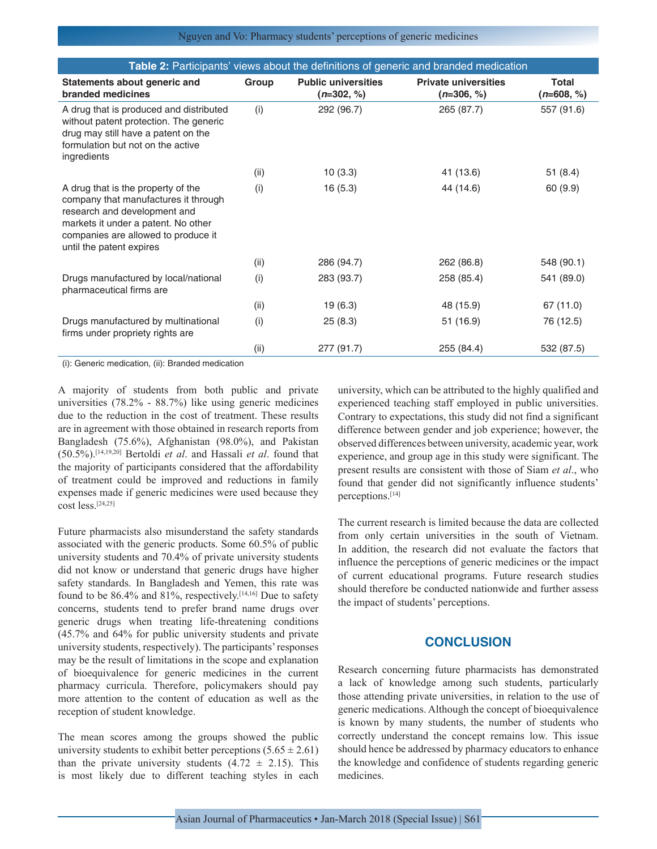|                                                                                                                                                                                                                      |       |                                            | <b>Table 2: Participants' views about the definitions of generic and branded medication</b> |                              |
|----------------------------------------------------------------------------------------------------------------------------------------------------------------------------------------------------------------------|-------|--------------------------------------------|---------------------------------------------------------------------------------------------|------------------------------|
| Statements about generic and<br>branded medicines                                                                                                                                                                    | Group | <b>Public universities</b><br>$(n=302, %)$ | <b>Private universities</b><br>$(n=306, %)$                                                 | <b>Total</b><br>$(n=608, %)$ |
| A drug that is produced and distributed<br>without patent protection. The generic<br>drug may still have a patent on the<br>formulation but not on the active<br>ingredients                                         | (i)   | 292 (96.7)                                 | 265 (87.7)                                                                                  | 557 (91.6)                   |
|                                                                                                                                                                                                                      | (ii)  | 10(3.3)                                    | 41 (13.6)                                                                                   | 51(8.4)                      |
| A drug that is the property of the<br>company that manufactures it through<br>research and development and<br>markets it under a patent. No other<br>companies are allowed to produce it<br>until the patent expires | (i)   | 16(5.3)                                    | 44 (14.6)                                                                                   | 60 (9.9)                     |
|                                                                                                                                                                                                                      | (ii)  | 286 (94.7)                                 | 262 (86.8)                                                                                  | 548 (90.1)                   |
| Drugs manufactured by local/national<br>pharmaceutical firms are                                                                                                                                                     | (i)   | 283 (93.7)                                 | 258 (85.4)                                                                                  | 541 (89.0)                   |
|                                                                                                                                                                                                                      | (ii)  | 19 (6.3)                                   | 48 (15.9)                                                                                   | 67 (11.0)                    |
| Drugs manufactured by multinational<br>firms under propriety rights are                                                                                                                                              | (i)   | 25(8.3)                                    | 51 (16.9)                                                                                   | 76 (12.5)                    |
|                                                                                                                                                                                                                      | (ii)  | 277 (91.7)                                 | 255 (84.4)                                                                                  | 532 (87.5)                   |

(i): Generic medication, (ii): Branded medication

A majority of students from both public and private universities (78.2% - 88.7%) like using generic medicines due to the reduction in the cost of treatment. These results are in agreement with those obtained in research reports from Bangladesh (75.6%), Afghanistan (98.0%), and Pakistan (50.5%).[14,19,20] Bertoldi *et al*. and Hassali *et al*. found that the majority of participants considered that the affordability of treatment could be improved and reductions in family expenses made if generic medicines were used because they cost less.[24,25]

Future pharmacists also misunderstand the safety standards associated with the generic products. Some 60.5% of public university students and 70.4% of private university students did not know or understand that generic drugs have higher safety standards. In Bangladesh and Yemen, this rate was found to be  $86.4\%$  and  $81\%$ , respectively.<sup>[14,16]</sup> Due to safety concerns, students tend to prefer brand name drugs over generic drugs when treating life-threatening conditions (45.7% and 64% for public university students and private university students, respectively). The participants' responses may be the result of limitations in the scope and explanation of bioequivalence for generic medicines in the current pharmacy curricula. Therefore, policymakers should pay more attention to the content of education as well as the reception of student knowledge.

The mean scores among the groups showed the public university students to exhibit better perceptions  $(5.65 \pm 2.61)$ than the private university students  $(4.72 \pm 2.15)$ . This is most likely due to different teaching styles in each university, which can be attributed to the highly qualified and experienced teaching staff employed in public universities. Contrary to expectations, this study did not find a significant difference between gender and job experience; however, the observed differences between university, academic year, work experience, and group age in this study were significant. The present results are consistent with those of Siam *et al*., who found that gender did not significantly influence students' perceptions.[14]

The current research is limited because the data are collected from only certain universities in the south of Vietnam. In addition, the research did not evaluate the factors that influence the perceptions of generic medicines or the impact of current educational programs. Future research studies should therefore be conducted nationwide and further assess the impact of students' perceptions.

## **CONCLUSION**

Research concerning future pharmacists has demonstrated a lack of knowledge among such students, particularly those attending private universities, in relation to the use of generic medications. Although the concept of bioequivalence is known by many students, the number of students who correctly understand the concept remains low. This issue should hence be addressed by pharmacy educators to enhance the knowledge and confidence of students regarding generic medicines.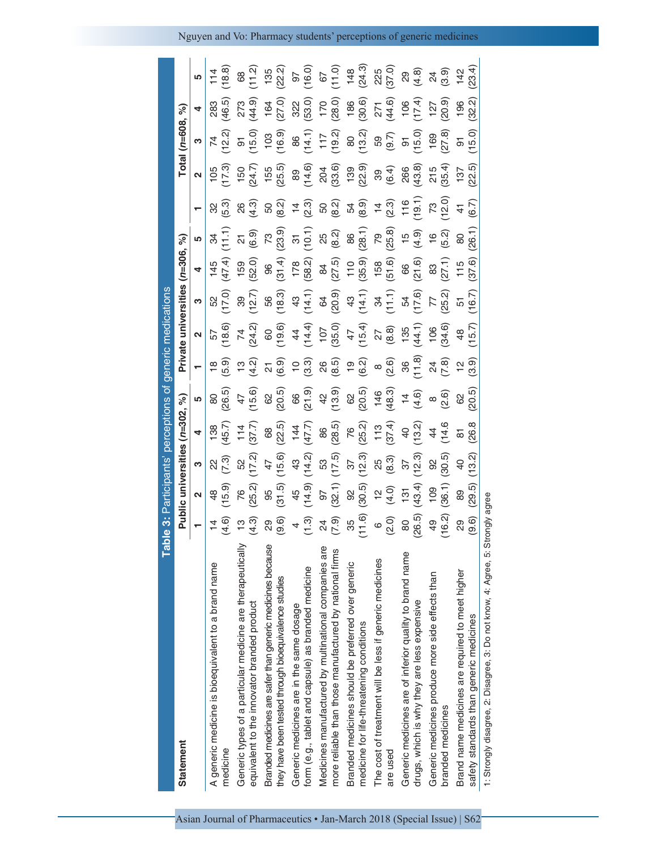| <b>Tabl</b>                                                                                                        |                                                                                                                                                      |                     |                                                |                                            | le 3: Participants' perceptions of generic medications                                                          |                                                                                                                                                                                                                                                                                                                                                                                                                                                                                                                                          |                                 |                                                                  |                                                                                                                                                                                                                                                                                                                                    |                                                |                                                                                                                                                                                                                                                        |                                                                                                                                                                                                                                                                                                                                                                                           |                                       |                                                                                              |                                                                                                             |
|--------------------------------------------------------------------------------------------------------------------|------------------------------------------------------------------------------------------------------------------------------------------------------|---------------------|------------------------------------------------|--------------------------------------------|-----------------------------------------------------------------------------------------------------------------|------------------------------------------------------------------------------------------------------------------------------------------------------------------------------------------------------------------------------------------------------------------------------------------------------------------------------------------------------------------------------------------------------------------------------------------------------------------------------------------------------------------------------------------|---------------------------------|------------------------------------------------------------------|------------------------------------------------------------------------------------------------------------------------------------------------------------------------------------------------------------------------------------------------------------------------------------------------------------------------------------|------------------------------------------------|--------------------------------------------------------------------------------------------------------------------------------------------------------------------------------------------------------------------------------------------------------|-------------------------------------------------------------------------------------------------------------------------------------------------------------------------------------------------------------------------------------------------------------------------------------------------------------------------------------------------------------------------------------------|---------------------------------------|----------------------------------------------------------------------------------------------|-------------------------------------------------------------------------------------------------------------|
| Statement                                                                                                          |                                                                                                                                                      |                     |                                                | Public universities (n=302,                | $\mathcal{S}_{\mathbf{e}}$                                                                                      |                                                                                                                                                                                                                                                                                                                                                                                                                                                                                                                                          | Private universities (n=306, %) |                                                                  |                                                                                                                                                                                                                                                                                                                                    |                                                |                                                                                                                                                                                                                                                        |                                                                                                                                                                                                                                                                                                                                                                                           | Total (n=608, %)                      |                                                                                              |                                                                                                             |
|                                                                                                                    |                                                                                                                                                      | 2                   | ო                                              | 4                                          | <u> (၂</u>                                                                                                      | <b>—</b>                                                                                                                                                                                                                                                                                                                                                                                                                                                                                                                                 | 2                               | ო                                                                | 4                                                                                                                                                                                                                                                                                                                                  | LO                                             |                                                                                                                                                                                                                                                        | $\mathbf{\Omega}$                                                                                                                                                                                                                                                                                                                                                                         | ო                                     | 4                                                                                            | rU                                                                                                          |
| A generic medicine is bioequivalent to a brand name<br>medicine                                                    | $4\frac{4}{6}$                                                                                                                                       | (15.9)              | $\begin{array}{c} 22 \\ 7 \cdot 3 \end{array}$ | (45.7)                                     | 80<br>(26.5)                                                                                                    |                                                                                                                                                                                                                                                                                                                                                                                                                                                                                                                                          | 57<br>(18.6)                    | 52<br>(17.0)                                                     | (47.4)                                                                                                                                                                                                                                                                                                                             | (11)                                           | (5.3)                                                                                                                                                                                                                                                  | $105$<br>$17.3$                                                                                                                                                                                                                                                                                                                                                                           | $74^{+20}_{-12}$                      | 283<br>(46.5)                                                                                | (18.8)<br>114                                                                                               |
| Generic types of a particular medicine are therapeutically<br>equivalent to the innovator branded product          | (4.3)                                                                                                                                                | (25.2)<br>76        | 52<br>(17.2)                                   | (37.7)<br>114                              | $47$<br>(15.6)                                                                                                  | $\begin{array}{l} \mathfrak{a} \; \widehat{\circ} \; \widehat{\circ} \; \widehat{\circ} \; \widehat{\circ} \; \widehat{\circ} \; \widehat{\circ} \; \widehat{\circ} \; \widehat{\circ} \; \widehat{\circ} \; \widehat{\circ} \; \widehat{\circ} \; \widehat{\circ} \; \widehat{\circ} \; \widehat{\circ} \; \widehat{\circ} \; \widehat{\circ} \; \widehat{\circ} \; \widehat{\circ} \; \widehat{\circ} \; \widehat{\circ} \; \widehat{\circ} \; \widehat{\circ} \; \widehat{\circ} \; \widehat{\circ} \; \widehat{\circ} \; \widehat{\$ |                                 | (12.7)                                                           | (52.0)                                                                                                                                                                                                                                                                                                                             | $\begin{pmatrix} 2 & 9 \\ 6 & 9 \end{pmatrix}$ | 26<br>(4.3)                                                                                                                                                                                                                                            | $150$<br>(24.7)                                                                                                                                                                                                                                                                                                                                                                           | (0.51)                                | (44.9)                                                                                       | $rac{68}{11.2}$                                                                                             |
| Branded medicines are safer than generic medicines because<br>they have been tested through bioequivalence studies | $^{29}_{(9.6)}$                                                                                                                                      | (31.5)              | (15.6)                                         | 68<br>(22.5)                               | $62$<br>$(20.5)$                                                                                                |                                                                                                                                                                                                                                                                                                                                                                                                                                                                                                                                          |                                 | 56<br>(18.3)                                                     |                                                                                                                                                                                                                                                                                                                                    | $73$<br>( $23.9$ )                             | $50$<br>$(8.2)$<br>$7$<br>$(2.3)$                                                                                                                                                                                                                      | (25,5)                                                                                                                                                                                                                                                                                                                                                                                    | (16.9)                                | $164$<br>(27.0)                                                                              |                                                                                                             |
| form (e.g., tablet and capsule) as branded medicine<br>Generic medicines are in the same dosage                    | $4\overline{)}$<br>$7\overline{)}$<br>$7\overline{)}$<br>$8\overline{)}$<br>$6\overline{)}$<br>$6\overline{)}$<br>$6\overline{)}$<br>$6\overline{)}$ | (14.9)              | $43$<br>(14.2)                                 | (47.7)                                     | $66$<br>$(21.9)$                                                                                                |                                                                                                                                                                                                                                                                                                                                                                                                                                                                                                                                          |                                 | (14.1)                                                           | $\begin{array}{c} 96 \\ 31.4 \\ -128.2 \\ -158.2 \\ -159.4 \\ -159.4 \\ -159.4 \\ -159.4 \\ -159.4 \\ -159.4 \\ -159.4 \\ -159.4 \\ -159.4 \\ -159.4 \\ -159.4 \\ -159.4 \\ -159.4 \\ -159.4 \\ -159.4 \\ -159.4 \\ -159.4 \\ -159.4 \\ -159.4 \\ -159.4 \\ -159.4 \\ -159.4 \\ -159.4 \\ -159.4 \\ -159.4 \\ -159.4 \\ -159.4 \\$ |                                                |                                                                                                                                                                                                                                                        | 89<br>(14.6)                                                                                                                                                                                                                                                                                                                                                                              |                                       | $322$<br>$(53.0)$                                                                            | $\begin{array}{c} 135 \\ (22.2) \\ (36.0) \\ (16.0) \\ (11.0) \\ (11.0) \\ (24.3) \\ (37.0) \\ \end{array}$ |
| Medicines manufactured by multinational companies are<br>more reliable than those manufactured by national firms   |                                                                                                                                                      | $\frac{97}{(32.1)}$ | 53<br>(17.5)                                   | (28.5)                                     | $42$<br>$(13.9)$                                                                                                |                                                                                                                                                                                                                                                                                                                                                                                                                                                                                                                                          |                                 | $630,90$<br>$43,70$<br>$54,71,11$<br>$54,70,11,10$<br>$54,70,10$ |                                                                                                                                                                                                                                                                                                                                    |                                                |                                                                                                                                                                                                                                                        | $\begin{array}{c} 204 \\ 203.6 \\ 199 \\ 209 \\ \hline \end{array} \quad \begin{array}{c} 0 \\ 0 \\ 0 \\ 0 \\ \hline \end{array} \quad \begin{array}{c} 0 \\ 0 \\ 0 \\ 0 \\ \hline \end{array} \quad \begin{array}{c} 0 \\ 0 \\ 0 \\ 0 \\ \hline \end{array} \quad \begin{array}{c} 0 \\ 0 \\ 0 \\ 0 \\ \hline \end{array} \quad \begin{array}{c} 0 \\ 0 \\ 0 \\ 0 \\ \hline \end{array}$ | $86$<br>$(14.1)$<br>$117$<br>$(19.2)$ | $\begin{array}{c} 170 \\ 180 \\ 186 \\ 186 \\ 30.6 \\ 71 \\ 44.6 \\ 106 \\ 17.4 \end{array}$ |                                                                                                             |
| Branded medicines should be preferred over generic<br>medicine for life-threatening conditions                     |                                                                                                                                                      | $92$<br>(30.5)      | (12.3)                                         | $76$<br>(25.2)                             |                                                                                                                 |                                                                                                                                                                                                                                                                                                                                                                                                                                                                                                                                          |                                 |                                                                  |                                                                                                                                                                                                                                                                                                                                    |                                                |                                                                                                                                                                                                                                                        |                                                                                                                                                                                                                                                                                                                                                                                           | 80<br>(13.2)                          |                                                                                              |                                                                                                             |
| The cost of treatment will be less if generic medicines<br>are used                                                |                                                                                                                                                      | $^{12}_{40}$        | $25$<br>$(8.3)$                                | (37.4)                                     |                                                                                                                 |                                                                                                                                                                                                                                                                                                                                                                                                                                                                                                                                          |                                 |                                                                  |                                                                                                                                                                                                                                                                                                                                    |                                                | $\begin{array}{c} 0 \\ 0 \\ 0 \\ 0 \\ \end{array} \begin{array}{c} 0 \\ 0 \\ 0 \\ 0 \\ \end{array} \begin{array}{c} 0 \\ 0 \\ 0 \\ 0 \\ \end{array} \begin{array}{c} 0 \\ 0 \\ 0 \\ 0 \\ \end{array} \begin{array}{c} 0 \\ 0 \\ 0 \\ 0 \\ \end{array}$ |                                                                                                                                                                                                                                                                                                                                                                                           |                                       |                                                                                              |                                                                                                             |
| Generic medicines are of inferior quality to brand name<br>drugs, which is why they are less expensive             | (26.5)<br>$\rm 8$                                                                                                                                    | (43.4)              | $\frac{37}{(12.3)}$                            | $\begin{pmatrix} 40 \\ 13.2 \end{pmatrix}$ |                                                                                                                 |                                                                                                                                                                                                                                                                                                                                                                                                                                                                                                                                          |                                 |                                                                  |                                                                                                                                                                                                                                                                                                                                    |                                                | (19.1)                                                                                                                                                                                                                                                 |                                                                                                                                                                                                                                                                                                                                                                                           | 59<br>(9.7)<br>515.0)<br>(15.0)       |                                                                                              |                                                                                                             |
| Generic medicines produce more side effects than<br>branded medicines                                              | (16.2)<br>49                                                                                                                                         | (36.1)<br>109       | (30.5)<br>9                                    | (14.6)<br>$\frac{4}{4}$                    | 62<br>$(20.5)$<br>$146$<br>$(4.63)$<br>$14.6$<br>$(4.6)$<br>$-14.6$<br>$-14.6$<br>$-14.6$<br>$-14.6$<br>$-14.6$ | $\frac{24}{(7.8)}$                                                                                                                                                                                                                                                                                                                                                                                                                                                                                                                       | (34.6)<br>106                   | $77$<br>(25.2)                                                   | $\frac{83}{(27.1)}$                                                                                                                                                                                                                                                                                                                | (5.2)                                          | $73$<br>$(12.0)$                                                                                                                                                                                                                                       | (35.4)<br>215                                                                                                                                                                                                                                                                                                                                                                             | (27.8)                                | (20.9)                                                                                       | $\begin{array}{c} 29 \\ 29 \\ 30 \\ 40 \\ 50 \\ \end{array}$                                                |
| Brand name medicines are required to meet higher<br>safety standards than generic medicines                        | (9.6)<br>88                                                                                                                                          | (29.5)<br>89        | (13.2)<br>$\overline{Q}$                       | (26.8)<br>$\overline{\infty}$              | (20.5)<br>89                                                                                                    | (3.9)<br>$\frac{1}{2}$                                                                                                                                                                                                                                                                                                                                                                                                                                                                                                                   | (15.7)<br>48                    | (16.7)<br>51                                                     | (37.6)<br>115                                                                                                                                                                                                                                                                                                                      | (26.1)<br>$80$                                 | (6.7)<br>$\frac{4}{3}$                                                                                                                                                                                                                                 | (22.5)<br>137                                                                                                                                                                                                                                                                                                                                                                             | (15.0)<br>$\overline{\mathrm{o}}$     | (32.2)<br>196                                                                                | (23.4)<br>142                                                                                               |
| 1: Strongly disagree, 2: Disagree, 3: Do not know, 4: Agree, 5: Strongly agree                                     |                                                                                                                                                      |                     |                                                |                                            |                                                                                                                 |                                                                                                                                                                                                                                                                                                                                                                                                                                                                                                                                          |                                 |                                                                  |                                                                                                                                                                                                                                                                                                                                    |                                                |                                                                                                                                                                                                                                                        |                                                                                                                                                                                                                                                                                                                                                                                           |                                       |                                                                                              |                                                                                                             |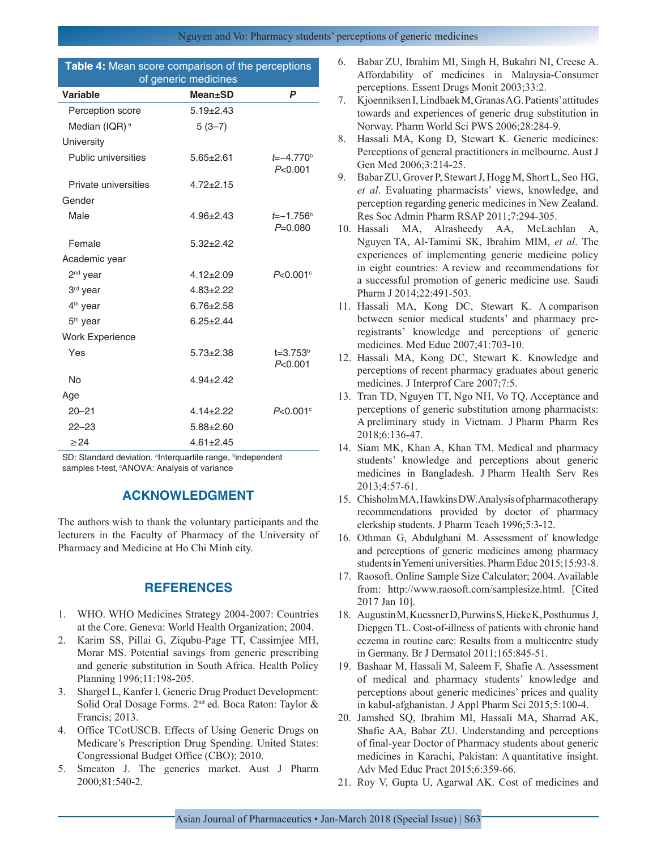| Table 4: Mean score comparison of the perceptions<br>of generic medicines |                 |                            |  |  |  |  |
|---------------------------------------------------------------------------|-----------------|----------------------------|--|--|--|--|
| Variable                                                                  | Mean±SD         | P                          |  |  |  |  |
| Perception score                                                          | $5.19 \pm 2.43$ |                            |  |  |  |  |
| Median (IQR) <sup>a</sup>                                                 | $5(3-7)$        |                            |  |  |  |  |
| University                                                                |                 |                            |  |  |  |  |
| Public universities                                                       | $5.65 \pm 2.61$ | $t = -4.770^b$<br>P<0.001  |  |  |  |  |
| Private universities                                                      | $4.72 \pm 2.15$ |                            |  |  |  |  |
| Gender                                                                    |                 |                            |  |  |  |  |
| Male                                                                      | $4.96 \pm 2.43$ | $t = -1.756b$<br>$P=0.080$ |  |  |  |  |
| Female                                                                    | $5.32 + 2.42$   |                            |  |  |  |  |
| Academic year                                                             |                 |                            |  |  |  |  |
| $2nd$ vear                                                                | $4.12 \pm 2.09$ | $P < 0.001$ °              |  |  |  |  |
| 3rd year                                                                  | $4.83 \pm 2.22$ |                            |  |  |  |  |
| $4th$ year                                                                | $6.76 \pm 2.58$ |                            |  |  |  |  |
| $5th$ year                                                                | $6.25 \pm 2.44$ |                            |  |  |  |  |
| <b>Work Experience</b>                                                    |                 |                            |  |  |  |  |
| Yes                                                                       | $5.73 \pm 2.38$ | $t = 3.753b$<br>P<0.001    |  |  |  |  |
| No                                                                        | $4.94 \pm 2.42$ |                            |  |  |  |  |
| Age                                                                       |                 |                            |  |  |  |  |
| $20 - 21$                                                                 | $4.14 \pm 2.22$ | $P < 0.001$ °              |  |  |  |  |
| $22 - 23$                                                                 | $5.88 \pm 2.60$ |                            |  |  |  |  |
| $\geq$ 24                                                                 | $4.61 \pm 2.45$ |                            |  |  |  |  |

SD: Standard deviation. <sup>a</sup>Interquartile range, <sup>b</sup>independent samples t-test, <sup>c</sup>ANOVA: Analysis of variance

## **ACKNOWLEDGMENT**

The authors wish to thank the voluntary participants and the lecturers in the Faculty of Pharmacy of the University of Pharmacy and Medicine at Ho Chi Minh city.

## **REFERENCES**

- 1. WHO. WHO Medicines Strategy 2004-2007: Countries at the Core. Geneva: World Health Organization; 2004.
- 2. Karim SS, Pillai G, Ziqubu-Page TT, Cassimjee MH, Morar MS. Potential savings from generic prescribing and generic substitution in South Africa. Health Policy Planning 1996;11:198-205.
- 3. Shargel L, Kanfer I. Generic Drug Product Development: Solid Oral Dosage Forms. 2nd ed. Boca Raton: Taylor & Francis; 2013.
- 4. Office TCotUSCB. Effects of Using Generic Drugs on Medicare's Prescription Drug Spending. United States: Congressional Budget Office (CBO); 2010.
- 5. Smeaton J. The generics market. Aust J Pharm 2000;81:540-2.
- 6. Babar ZU, Ibrahim MI, Singh H, Bukahri NI, Creese A. Affordability of medicines in Malaysia-Consumer perceptions. Essent Drugs Monit 2003;33:2.
- 7. Kjoenniksen I, Lindbaek M, Granas AG. Patients' attitudes towards and experiences of generic drug substitution in Norway. Pharm World Sci PWS 2006;28:284-9.
- 8. Hassali MA, Kong D, Stewart K. Generic medicines: Perceptions of general practitioners in melbourne. Aust J Gen Med 2006;3:214-25.
- 9. Babar ZU, Grover P, Stewart J, Hogg M, Short L, Seo HG, *et al*. Evaluating pharmacists' views, knowledge, and perception regarding generic medicines in New Zealand. Res Soc Admin Pharm RSAP 2011;7:294-305.
- 10. Hassali MA, Alrasheedy AA, McLachlan A, Nguyen TA, Al-Tamimi SK, Ibrahim MIM, *et al*. The experiences of implementing generic medicine policy in eight countries: A review and recommendations for a successful promotion of generic medicine use. Saudi Pharm J 2014;22:491-503.
- 11. Hassali MA, Kong DC, Stewart K. A comparison between senior medical students' and pharmacy preregistrants' knowledge and perceptions of generic medicines. Med Educ 2007;41:703-10.
- 12. Hassali MA, Kong DC, Stewart K. Knowledge and perceptions of recent pharmacy graduates about generic medicines. J Interprof Care 2007;7:5.
- 13. Tran TD, Nguyen TT, Ngo NH, Vo TQ. Acceptance and perceptions of generic substitution among pharmacists: A preliminary study in Vietnam. J Pharm Pharm Res 2018;6:136-47.
- 14. Siam MK, Khan A, Khan TM. Medical and pharmacy students' knowledge and perceptions about generic medicines in Bangladesh. J Pharm Health Serv Res 2013;4:57-61.
- 15. Chisholm MA, Hawkins DW. Analysis of pharmacotherapy recommendations provided by doctor of pharmacy clerkship students. J Pharm Teach 1996;5:3-12.
- 16. Othman G, Abdulghani M. Assessment of knowledge and perceptions of generic medicines among pharmacy students in Yemeni universities. Pharm Educ 2015;15:93-8.
- 17. Raosoft. Online Sample Size Calculator; 2004. Available from: http://www.raosoft.com/samplesize.html. [Cited 2017 Jan 10].
- 18. Augustin M, Kuessner D, Purwins S, Hieke K, Posthumus J, Diepgen TL. Cost-of-illness of patients with chronic hand eczema in routine care: Results from a multicentre study in Germany. Br J Dermatol 2011;165:845-51.
- 19. Bashaar M, Hassali M, Saleem F, Shafie A. Assessment of medical and pharmacy students' knowledge and perceptions about generic medicines' prices and quality in kabul-afghanistan. J Appl Pharm Sci 2015;5:100-4.
- 20. Jamshed SQ, Ibrahim MI, Hassali MA, Sharrad AK, Shafie AA, Babar ZU. Understanding and perceptions of final-year Doctor of Pharmacy students about generic medicines in Karachi, Pakistan: A quantitative insight. Adv Med Educ Pract 2015;6:359-66.
- 21. Roy V, Gupta U, Agarwal AK. Cost of medicines and